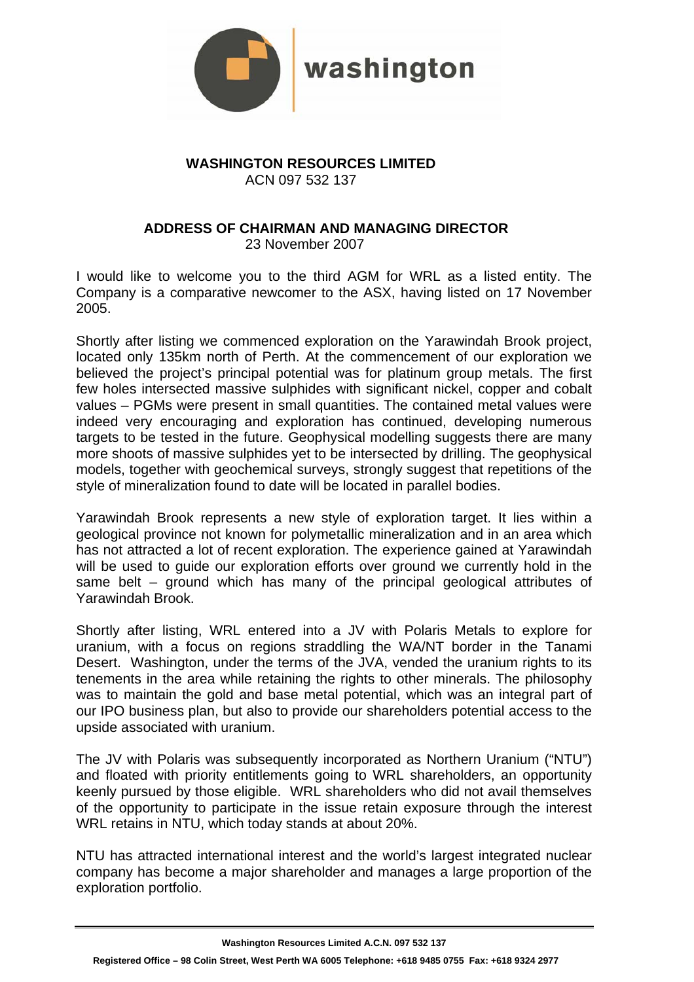

## **WASHINGTON RESOURCES LIMITED**  ACN 097 532 137

## **ADDRESS OF CHAIRMAN AND MANAGING DIRECTOR**  23 November 2007

I would like to welcome you to the third AGM for WRL as a listed entity. The Company is a comparative newcomer to the ASX, having listed on 17 November 2005.

Shortly after listing we commenced exploration on the Yarawindah Brook project, located only 135km north of Perth. At the commencement of our exploration we believed the project's principal potential was for platinum group metals. The first few holes intersected massive sulphides with significant nickel, copper and cobalt values – PGMs were present in small quantities. The contained metal values were indeed very encouraging and exploration has continued, developing numerous targets to be tested in the future. Geophysical modelling suggests there are many more shoots of massive sulphides yet to be intersected by drilling. The geophysical models, together with geochemical surveys, strongly suggest that repetitions of the style of mineralization found to date will be located in parallel bodies.

Yarawindah Brook represents a new style of exploration target. It lies within a geological province not known for polymetallic mineralization and in an area which has not attracted a lot of recent exploration. The experience gained at Yarawindah will be used to guide our exploration efforts over ground we currently hold in the same belt – ground which has many of the principal geological attributes of Yarawindah Brook.

Shortly after listing, WRL entered into a JV with Polaris Metals to explore for uranium, with a focus on regions straddling the WA/NT border in the Tanami Desert. Washington, under the terms of the JVA, vended the uranium rights to its tenements in the area while retaining the rights to other minerals. The philosophy was to maintain the gold and base metal potential, which was an integral part of our IPO business plan, but also to provide our shareholders potential access to the upside associated with uranium.

The JV with Polaris was subsequently incorporated as Northern Uranium ("NTU") and floated with priority entitlements going to WRL shareholders, an opportunity keenly pursued by those eligible. WRL shareholders who did not avail themselves of the opportunity to participate in the issue retain exposure through the interest WRL retains in NTU, which today stands at about 20%.

NTU has attracted international interest and the world's largest integrated nuclear company has become a major shareholder and manages a large proportion of the exploration portfolio.

**Washington Resources Limited A.C.N. 097 532 137 Registered Office – 98 Colin Street, West Perth WA 6005 Telephone: +618 9485 0755 Fax: +618 9324 2977**